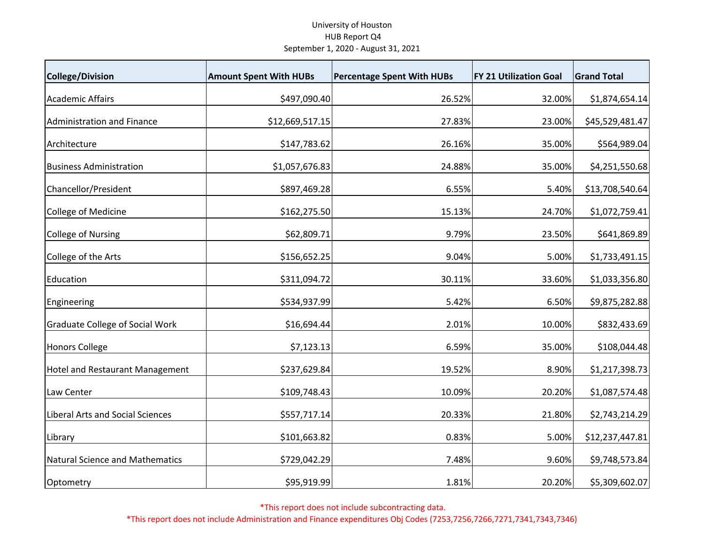## University of Houston HUB Report Q4 September 1, 2020 - August 31, 2021

| College/Division                       | <b>Amount Spent With HUBs</b> | <b>Percentage Spent With HUBs</b> | <b>FY 21 Utilization Goal</b> | <b>Grand Total</b> |
|----------------------------------------|-------------------------------|-----------------------------------|-------------------------------|--------------------|
| Academic Affairs                       | \$497,090.40                  | 26.52%                            | 32.00%                        | \$1,874,654.14     |
| Administration and Finance             | \$12,669,517.15               | 27.83%                            | 23.00%                        | \$45,529,481.47    |
| Architecture                           | \$147,783.62                  | 26.16%                            | 35.00%                        | \$564,989.04       |
| <b>Business Administration</b>         | \$1,057,676.83                | 24.88%                            | 35.00%                        | \$4,251,550.68     |
| Chancellor/President                   | \$897,469.28                  | 6.55%                             | 5.40%                         | \$13,708,540.64    |
| <b>College of Medicine</b>             | \$162,275.50                  | 15.13%                            | 24.70%                        | \$1,072,759.41     |
| <b>College of Nursing</b>              | \$62,809.71                   | 9.79%                             | 23.50%                        | \$641,869.89       |
| College of the Arts                    | \$156,652.25                  | 9.04%                             | 5.00%                         | \$1,733,491.15     |
| Education                              | \$311,094.72                  | 30.11%                            | 33.60%                        | \$1,033,356.80     |
| Engineering                            | \$534,937.99                  | 5.42%                             | 6.50%                         | \$9,875,282.88     |
| <b>Graduate College of Social Work</b> | \$16,694.44                   | 2.01%                             | 10.00%                        | \$832,433.69       |
| <b>Honors College</b>                  | \$7,123.13                    | 6.59%                             | 35.00%                        | \$108,044.48       |
| <b>Hotel and Restaurant Management</b> | \$237,629.84                  | 19.52%                            | 8.90%                         | \$1,217,398.73     |
| Law Center                             | \$109,748.43                  | 10.09%                            | 20.20%                        | \$1,087,574.48     |
| Liberal Arts and Social Sciences       | \$557,717.14                  | 20.33%                            | 21.80%                        | \$2,743,214.29     |
| Library                                | \$101,663.82                  | 0.83%                             | 5.00%                         | \$12,237,447.81    |
| Natural Science and Mathematics        | \$729,042.29                  | 7.48%                             | 9.60%                         | \$9,748,573.84     |
| Optometry                              | \$95,919.99                   | 1.81%                             | 20.20%                        | \$5,309,602.07     |

\*This report does not include subcontracting data.

\*This report does not include Administration and Finance expenditures Obj Codes (7253,7256,7266,7271,7341,7343,7346)